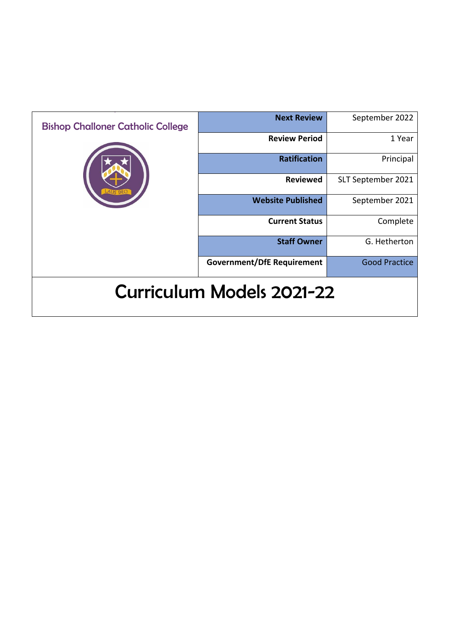| <b>Bishop Challoner Catholic College</b> | <b>Next Review</b>                | September 2022       |
|------------------------------------------|-----------------------------------|----------------------|
|                                          | <b>Review Period</b>              | 1 Year               |
|                                          | <b>Ratification</b>               | Principal            |
|                                          | <b>Reviewed</b>                   | SLT September 2021   |
|                                          | <b>Website Published</b>          | September 2021       |
|                                          | <b>Current Status</b>             | Complete             |
|                                          | <b>Staff Owner</b>                | G. Hetherton         |
|                                          | <b>Government/DfE Requirement</b> | <b>Good Practice</b> |
| <b>Curriculum Models 2021-22</b>         |                                   |                      |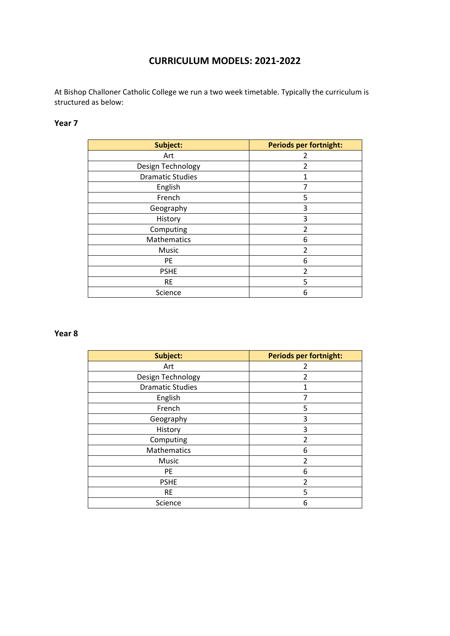# **CURRICULUM MODELS: 2021-2022**

At Bishop Challoner Catholic College we run a two week timetable. Typically the curriculum is structured as below:

### **Year 7**

| Subject:                | <b>Periods per fortnight:</b> |
|-------------------------|-------------------------------|
| Art                     |                               |
| Design Technology       | 2                             |
| <b>Dramatic Studies</b> |                               |
| English                 | 7                             |
| French                  | 5                             |
| Geography               | 3                             |
| History                 | 3                             |
| Computing               | $\overline{2}$                |
| Mathematics             | 6                             |
| Music                   | $\mathfrak z$                 |
| PE                      | 6                             |
| <b>PSHE</b>             | $\mathfrak{p}$                |
| <b>RE</b>               | 5                             |
| Science                 | 6                             |

#### **Year 8**

| Subject:                | <b>Periods per fortnight:</b> |
|-------------------------|-------------------------------|
| Art                     | 2                             |
| Design Technology       | 2                             |
| <b>Dramatic Studies</b> |                               |
| English                 | 7                             |
| French                  | 5                             |
| Geography               | 3                             |
| History                 | 3                             |
| Computing               | $\mathfrak{p}$                |
| Mathematics             | 6                             |
| Music                   | $\mathfrak z$                 |
| PE                      | 6                             |
| <b>PSHE</b>             | 2                             |
| <b>RE</b>               | 5                             |
| Science                 | 6                             |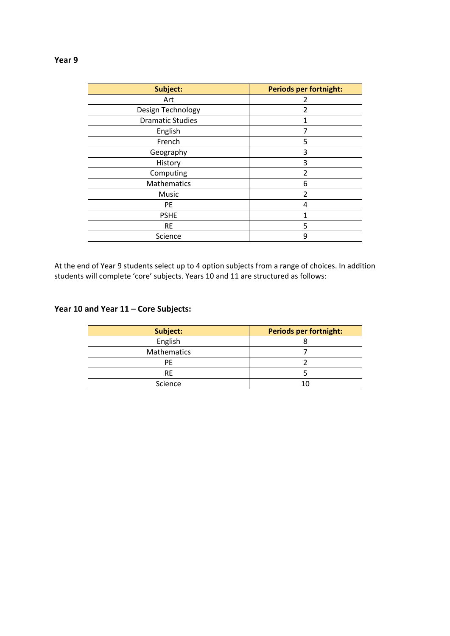#### **Year 9**

| Subject:                | <b>Periods per fortnight:</b> |
|-------------------------|-------------------------------|
| Art                     | 2                             |
| Design Technology       | 2                             |
| <b>Dramatic Studies</b> | 1                             |
| English                 | 7                             |
| French                  | 5                             |
| Geography               | 3                             |
| History                 | 3                             |
| Computing               | $\mathfrak{p}$                |
| <b>Mathematics</b>      | 6                             |
| Music                   | $\overline{2}$                |
| PE                      | 4                             |
| <b>PSHE</b>             | 1                             |
| <b>RE</b>               | 5                             |
| Science                 | 9                             |

At the end of Year 9 students select up to 4 option subjects from a range of choices. In addition students will complete 'core' subjects. Years 10 and 11 are structured as follows:

### **Year 10 and Year 11 – Core Subjects:**

| Subject:    | <b>Periods per fortnight:</b> |
|-------------|-------------------------------|
| English     |                               |
| Mathematics |                               |
| РF          |                               |
| <b>RE</b>   |                               |
| Science     |                               |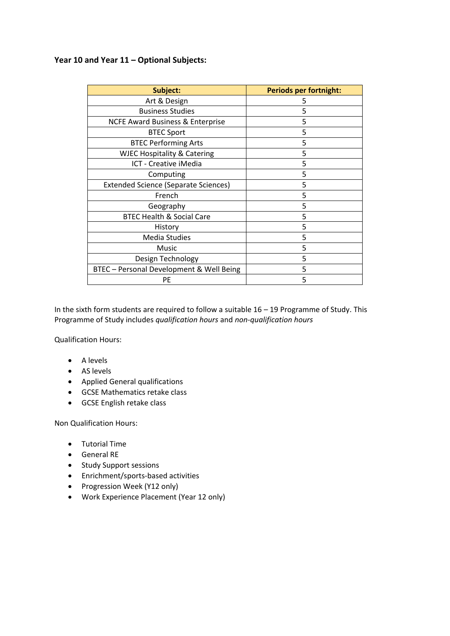### **Year 10 and Year 11 – Optional Subjects:**

| Subject:                                    | <b>Periods per fortnight:</b> |
|---------------------------------------------|-------------------------------|
| Art & Design                                | 5                             |
| <b>Business Studies</b>                     | 5                             |
| <b>NCFE Award Business &amp; Enterprise</b> | 5                             |
| <b>BTEC Sport</b>                           | 5                             |
| <b>BTEC Performing Arts</b>                 | 5                             |
| <b>WJEC Hospitality &amp; Catering</b>      | 5                             |
| ICT - Creative iMedia                       | 5                             |
| Computing                                   | 5                             |
| <b>Extended Science (Separate Sciences)</b> | 5                             |
| French                                      | 5                             |
| Geography                                   | 5                             |
| <b>BTEC Health &amp; Social Care</b>        | 5                             |
| History                                     | 5                             |
| <b>Media Studies</b>                        | 5                             |
| Music                                       | 5                             |
| Design Technology                           | 5                             |
| BTEC - Personal Development & Well Being    | 5                             |
| PE                                          | 5                             |

In the sixth form students are required to follow a suitable 16 – 19 Programme of Study. This Programme of Study includes *qualification hours* and *non-qualification hours*

Qualification Hours:

- A levels
- AS levels
- Applied General qualifications
- GCSE Mathematics retake class
- GCSE English retake class

Non Qualification Hours:

- Tutorial Time
- General RE
- Study Support sessions
- Enrichment/sports-based activities
- Progression Week (Y12 only)
- Work Experience Placement (Year 12 only)